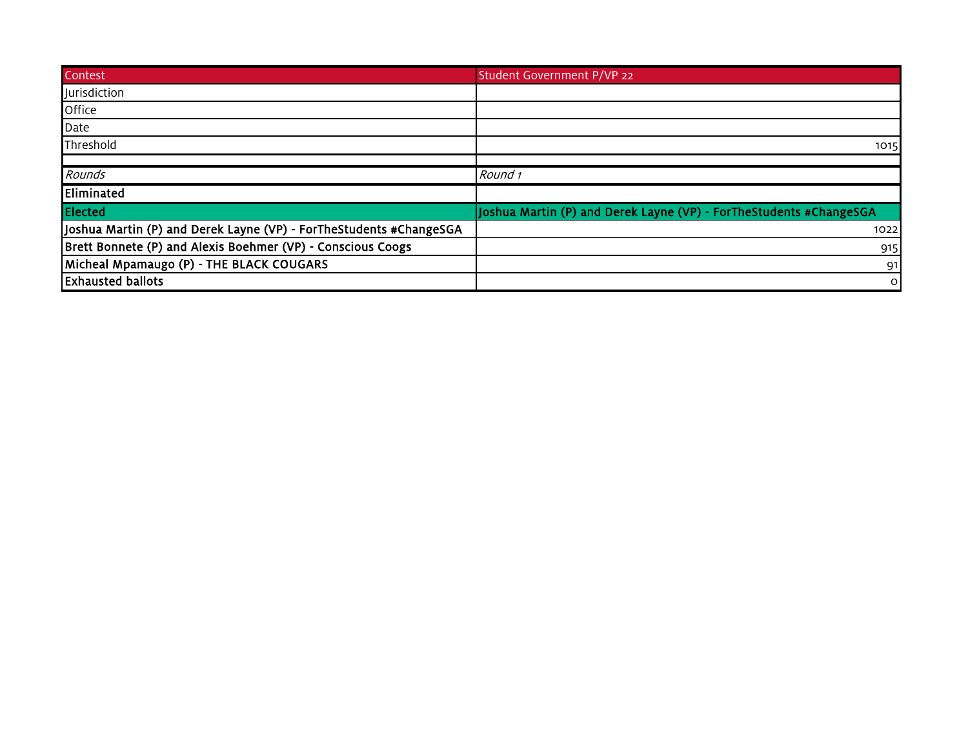| Contest                                                            | Student Government P/VP 22                                         |
|--------------------------------------------------------------------|--------------------------------------------------------------------|
| Jurisdiction                                                       |                                                                    |
| Office                                                             |                                                                    |
| Date                                                               |                                                                    |
| Threshold                                                          | 1015                                                               |
|                                                                    |                                                                    |
| Rounds                                                             | Round 1                                                            |
| Eliminated                                                         |                                                                    |
| Elected                                                            | Joshua Martin (P) and Derek Layne (VP) - ForTheStudents #ChangeSGA |
| Joshua Martin (P) and Derek Layne (VP) - ForTheStudents #ChangeSGA | 1022                                                               |
| Brett Bonnete (P) and Alexis Boehmer (VP) - Conscious Coogs        | 915                                                                |
| Micheal Mpamaugo (P) - THE BLACK COUGARS                           | 91                                                                 |
| <b>Exhausted ballots</b>                                           | $\circ$                                                            |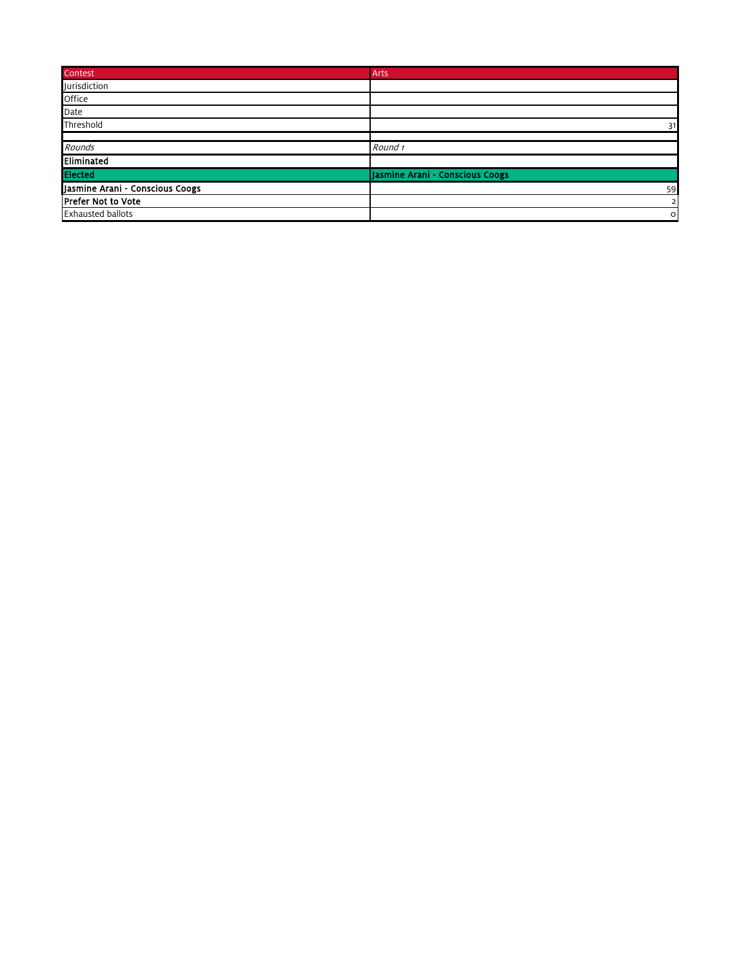| Contest                         | Arts                            |
|---------------------------------|---------------------------------|
| <b>Jurisdiction</b>             |                                 |
| Office                          |                                 |
| Date                            |                                 |
| Threshold                       | 31                              |
|                                 |                                 |
| Rounds                          | Round 1                         |
| Eliminated                      |                                 |
| Elected                         | Jasmine Arani - Conscious Coogs |
| Jasmine Arani - Conscious Coogs | 59                              |
| <b>Prefer Not to Vote</b>       | $\overline{2}$                  |
| <b>Exhausted ballots</b>        | $\circ$                         |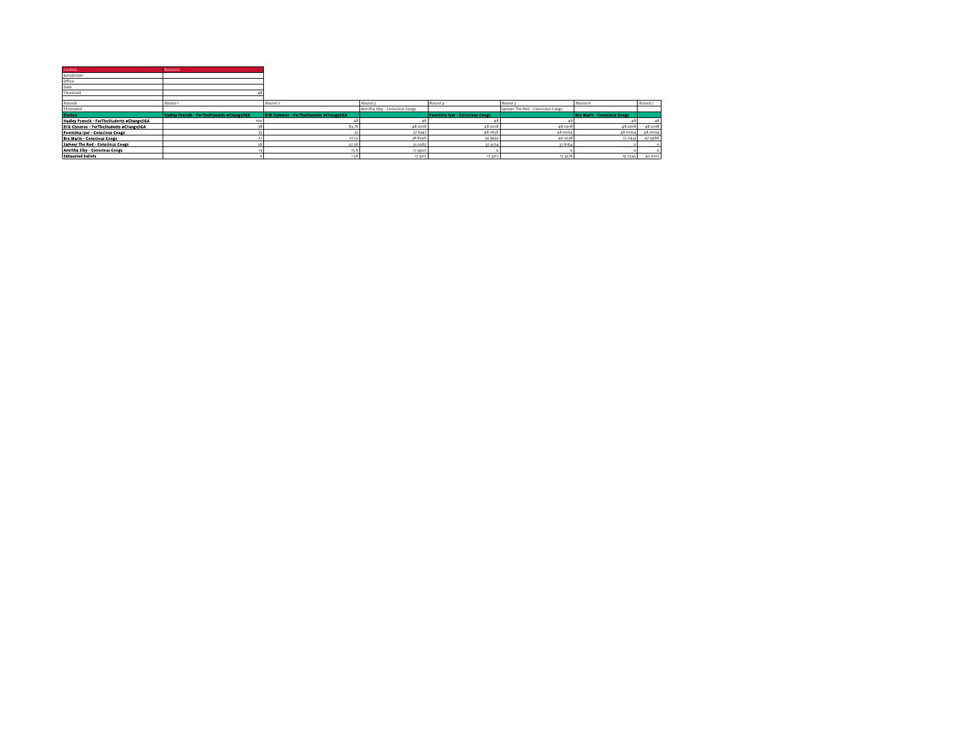| Contest                                                               | <b>Business</b>                                   |                                                  |                                |                                 |                                  |                                    |         |
|-----------------------------------------------------------------------|---------------------------------------------------|--------------------------------------------------|--------------------------------|---------------------------------|----------------------------------|------------------------------------|---------|
| Jurisdiction                                                          |                                                   |                                                  |                                |                                 |                                  |                                    |         |
| Office                                                                |                                                   |                                                  |                                |                                 |                                  |                                    |         |
| Date                                                                  |                                                   |                                                  |                                |                                 |                                  |                                    |         |
| Threshold                                                             |                                                   |                                                  |                                |                                 |                                  |                                    |         |
|                                                                       |                                                   |                                                  |                                |                                 |                                  |                                    |         |
| Rounds                                                                | Round <sub>1</sub>                                | Round <sub>2</sub>                               | Round a                        | Round 4                         | Round s                          | Round 6                            | Round 7 |
| Eliminated                                                            |                                                   |                                                  | Amritha Siby - Conscious Coogs |                                 | Sameer The Red - Conscious Coogs |                                    |         |
|                                                                       |                                                   |                                                  |                                |                                 |                                  |                                    |         |
|                                                                       | <b>Hadley Psencik - ForTheStudents eChangeSGA</b> | <b>Erik Cisneros - ForTheStudents eChangeSGA</b> |                                | Poornima Iver - Conscious Coogs |                                  | <b>Bre Marin - Conscious Coogs</b> |         |
| Elected<br>Hadley Psencik - ForTheStudents oChangeSGA                 | 100                                               |                                                  |                                |                                 |                                  |                                    |         |
| Erik Cisneros - ForTheStudents #ChangeSGA                             |                                                   | 83.76                                            | 48.0018                        | 48.0018                         | 48.0018                          | 48.0018                            | 48.0018 |
|                                                                       |                                                   |                                                  | 37.8347                        | 48.2656                         | 48,0004                          | 48,0004                            | 48.0004 |
| Poornima Iver - Conscious Coogs<br><b>Bre Marin - Conscious Coogs</b> |                                                   | 27.52                                            | 38.8246                        | 39-9935                         | 40.0538                          | 75.2433                            | 47.9966 |
| Sameer The Red - Conscious Coogs                                      |                                                   | 27.56                                            | 31.0265                        | 37.4174                         | 37.6164                          |                                    |         |
| Amritha Siby - Conscious Coogs                                        |                                                   | 15.6                                             | 17.9907                        |                                 |                                  |                                    |         |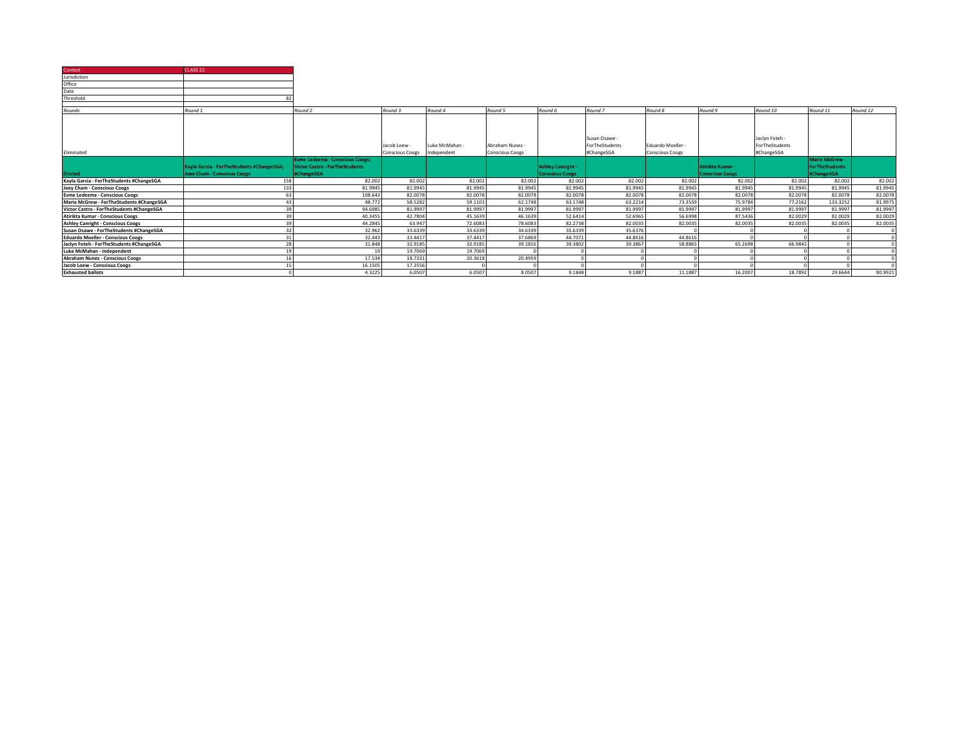| Contest                                   | CLASS <sub>22</sub>                       |                                        |                                        |                               |                                           |                          |                                             |                                           |                        |                                                |                       |          |
|-------------------------------------------|-------------------------------------------|----------------------------------------|----------------------------------------|-------------------------------|-------------------------------------------|--------------------------|---------------------------------------------|-------------------------------------------|------------------------|------------------------------------------------|-----------------------|----------|
| Jurisdiction                              |                                           |                                        |                                        |                               |                                           |                          |                                             |                                           |                        |                                                |                       |          |
| Office                                    |                                           |                                        |                                        |                               |                                           |                          |                                             |                                           |                        |                                                |                       |          |
| Date                                      |                                           |                                        |                                        |                               |                                           |                          |                                             |                                           |                        |                                                |                       |          |
| Threshold                                 |                                           |                                        |                                        |                               |                                           |                          |                                             |                                           |                        |                                                |                       |          |
|                                           |                                           |                                        |                                        |                               |                                           |                          |                                             |                                           |                        |                                                |                       |          |
| Rounds                                    | Round 1                                   | Round 2                                | Round 3                                | Round 4                       | Round 5                                   | Round 6                  | Round 7                                     | Round 8                                   | Round 9                | Round 10                                       | Round 11              | Round 12 |
| Eliminated                                |                                           |                                        | Jacob Loew -<br><b>Conscious Coogs</b> | Luke McMahan -<br>Independent | Abraham Nunez -<br><b>Conscious Coogs</b> |                          | Susan Osawe<br>ForTheStudents<br>#ChangeSGA | Eduardo Moeller<br><b>Conscious Coogs</b> |                        | Jaclyn Foteh -<br>ForTheStudents<br>#ChangeSGA |                       |          |
|                                           |                                           | <b>Esme Ledezma - Conscious Coogs;</b> |                                        |                               |                                           |                          |                                             |                                           |                        |                                                | <b>Marie McGrew</b>   |          |
|                                           | Kayla Garcia - ForTheStudents #ChangeSGA; | <b>Victor Castro - ForTheStudents</b>  |                                        |                               |                                           | <b>Ashley Canright -</b> |                                             |                                           | Atirikta Kumar -       |                                                | <b>ForTheStudents</b> |          |
|                                           |                                           |                                        |                                        |                               |                                           |                          |                                             |                                           |                        |                                                |                       |          |
| <b>Elected</b>                            | <b>Joey Cham - Conscious Coogs</b>        | #ChangeSGA                             |                                        |                               |                                           | <b>Conscious Coogs</b>   |                                             |                                           | <b>Conscious Coogs</b> |                                                | #ChangeSGA            |          |
| Kayla Garcia - ForTheStudents #ChangeSGA  | 158                                       | 82.002                                 | 82.002                                 | 82.002                        | 82.002                                    | 82.002                   | 82.002                                      | 82.002                                    | 82.002                 | 82.002                                         | 82.002                | 82.002   |
| Joey Cham - Conscious Coogs               | 133                                       | 81.9945                                | 81,9945                                | 81.9945                       | 81.9945                                   | 81.9945                  | 81.9945                                     | 81.9945                                   | 81.9945                | 81.9945                                        | 81.9945               | 81.9945  |
| <b>Esme Ledezma - Conscious Coogs</b>     | 63                                        | 108.643                                | 82.0078                                | 82.0078                       | 82,0078                                   | 82.0078                  | 82.0078                                     | 82.0078                                   | 82.0078                | 82.0078                                        | 82,0078               | 82.0078  |
| Marie McGrew - ForTheStudents #ChangeSGA  | 43                                        | 48.772                                 | 58,5282                                | 59.1103                       | 62.1748                                   | 63.1748                  | 63.2214                                     | 73.3559                                   | 75.9784                | 77,2162                                        | 133.3252              | 81.9975  |
| Victor Castro - ForTheStudents #ChangeSGA | 39                                        | 94.6985                                | 81.9997                                | 81.9997                       | 81,9997                                   | 81.9997                  | 81.9997                                     | 81.9997                                   | 81.9997                | 81,9997                                        | 81,9997               | 81.9997  |
| Atirikta Kumar - Conscious Coogs          | 39                                        | 40.3455                                | 42,7804                                | 45.1639                       | 46.1639                                   | 52.6414                  | 52.6965                                     | 56,6998                                   | 87.5436                | 82.0029                                        | 82.0029               | 82.0029  |
| <b>Ashley Canright - Conscious Coogs</b>  | 39                                        | 44.2845                                | 63.947                                 | 72,6083                       | 78,6083                                   | 82.2738                  | 82.0035                                     | 82.0035                                   | 82.0035                | 82.0035                                        | 82,0035               | 82.0035  |
| Susan Osawe - ForTheStudents #ChangeSGA   | 32                                        | 32.962                                 | 33.6339                                | 33.6339                       | 34.6339                                   | 35.6339                  | 35.6376                                     |                                           |                        |                                                |                       |          |
| <b>Eduardo Moeller - Conscious Coogs</b>  | 31                                        | 32.443                                 | 33,4417                                | 37,4417                       | 37,6869                                   | 44.7071                  | 44.8616                                     | 44.8616                                   |                        |                                                |                       |          |
| Jaclyn Foteh - ForTheStudents #ChangeSGA  | 28                                        | 31.848                                 | 32.9185                                | 32.9185                       | 39.1816                                   | 39.3802                  | 39.3867                                     | 58,8865                                   | 65.2698                | 66.9842                                        |                       |          |
| Luke McMahan - Independent                | 19                                        | 19                                     | 19.7069                                | 19.7069                       |                                           |                          |                                             |                                           |                        |                                                |                       |          |
| <b>Abraham Nunez - Conscious Coogs</b>    | 16                                        | 17.534                                 | 18,7331                                | 20,3618                       | 20,4959                                   |                          |                                             |                                           |                        |                                                |                       |          |
| Jacob Loew - Conscious Coogs              | 15                                        | 16.1505<br>4.3225                      | 17.2556<br>6.0507                      | 6.0507                        | 8.0507                                    |                          |                                             | 11.1887                                   | 16,2007                | 18,7892                                        | 29.6644               | 80.9921  |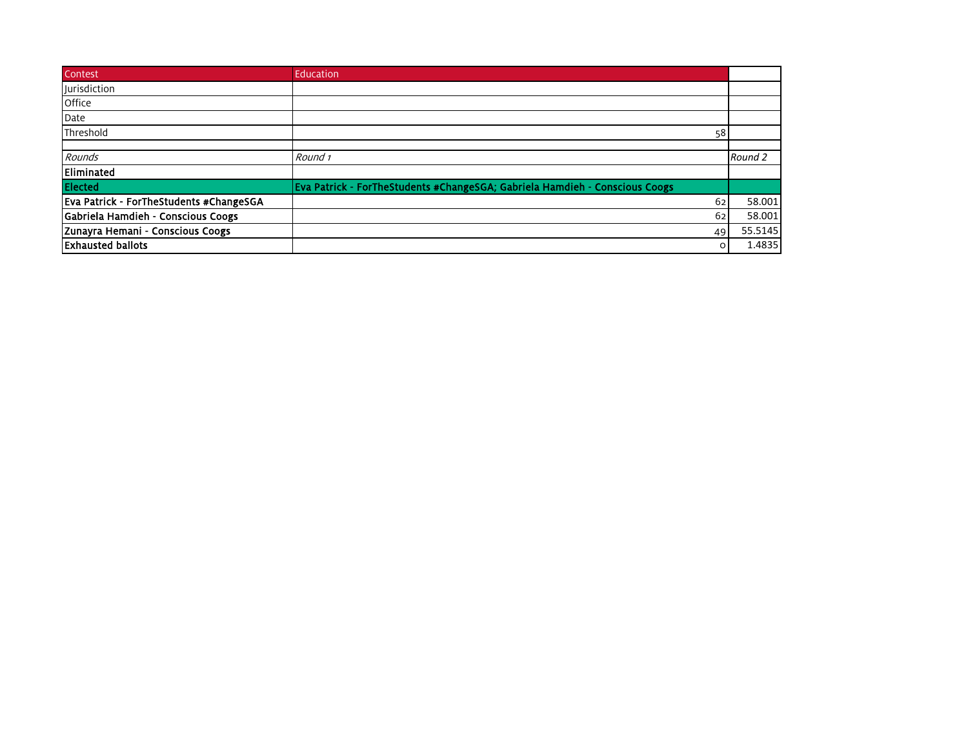| Contest                                 | Education                                                                   |         |
|-----------------------------------------|-----------------------------------------------------------------------------|---------|
| <b>Jurisdiction</b>                     |                                                                             |         |
| Office                                  |                                                                             |         |
| Date                                    |                                                                             |         |
| Threshold                               | 58                                                                          |         |
|                                         |                                                                             |         |
| Rounds                                  | Round 1                                                                     | Round 2 |
| Eliminated                              |                                                                             |         |
| <b>Elected</b>                          | Eva Patrick - ForTheStudents #ChangeSGA; Gabriela Hamdieh - Conscious Coogs |         |
| Eva Patrick - ForTheStudents #ChangeSGA | 62                                                                          | 58.001  |
| Gabriela Hamdieh - Conscious Coogs      | 62                                                                          | 58.001  |
| Zunayra Hemani - Conscious Coogs        | 49                                                                          | 55.5145 |
| <b>Exhausted ballots</b>                | $\circ$                                                                     | 1.4835  |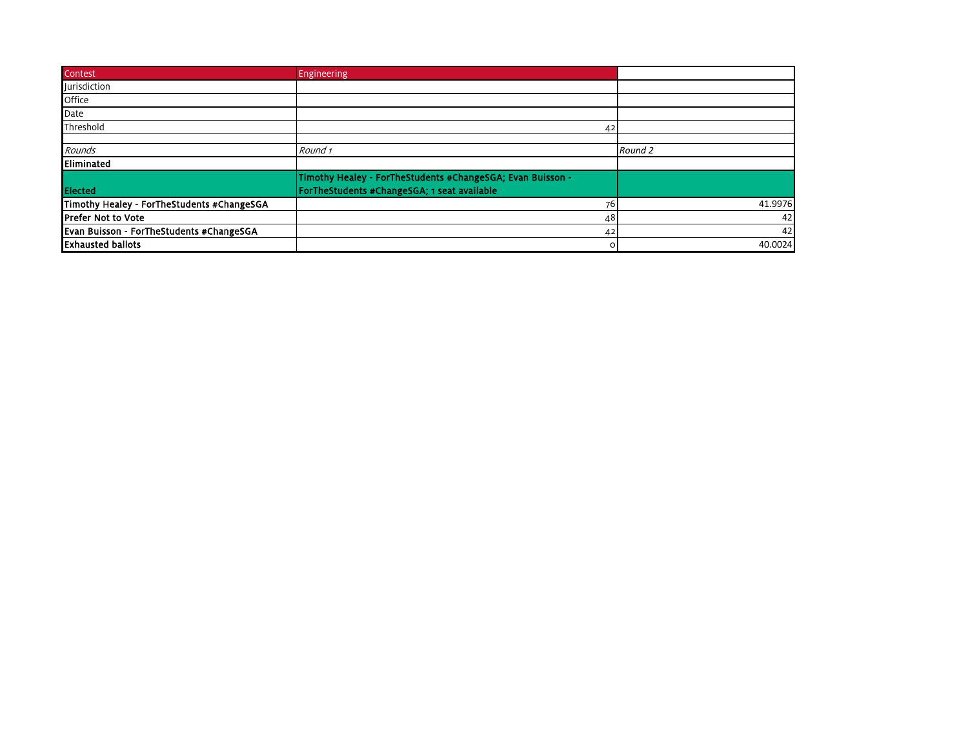| Contest                                    | Engineering                                                |         |
|--------------------------------------------|------------------------------------------------------------|---------|
| Jurisdiction                               |                                                            |         |
| Office                                     |                                                            |         |
| Date                                       |                                                            |         |
| Threshold                                  | 42                                                         |         |
| Rounds                                     | Round 1                                                    | Round 2 |
| Eliminated                                 |                                                            |         |
|                                            | Timothy Healey - ForTheStudents #ChangeSGA; Evan Buisson - |         |
| Elected                                    | ForTheStudents #ChangeSGA; 1 seat available                |         |
| Timothy Healey - ForTheStudents #ChangeSGA | 76                                                         | 41.9976 |
| <b>IPrefer Not to Vote</b>                 | 48                                                         | 42      |
| Evan Buisson - ForTheStudents #ChangeSGA   | 42                                                         | 42      |
| <b>Exhausted ballots</b>                   | $\circ$                                                    | 40.0024 |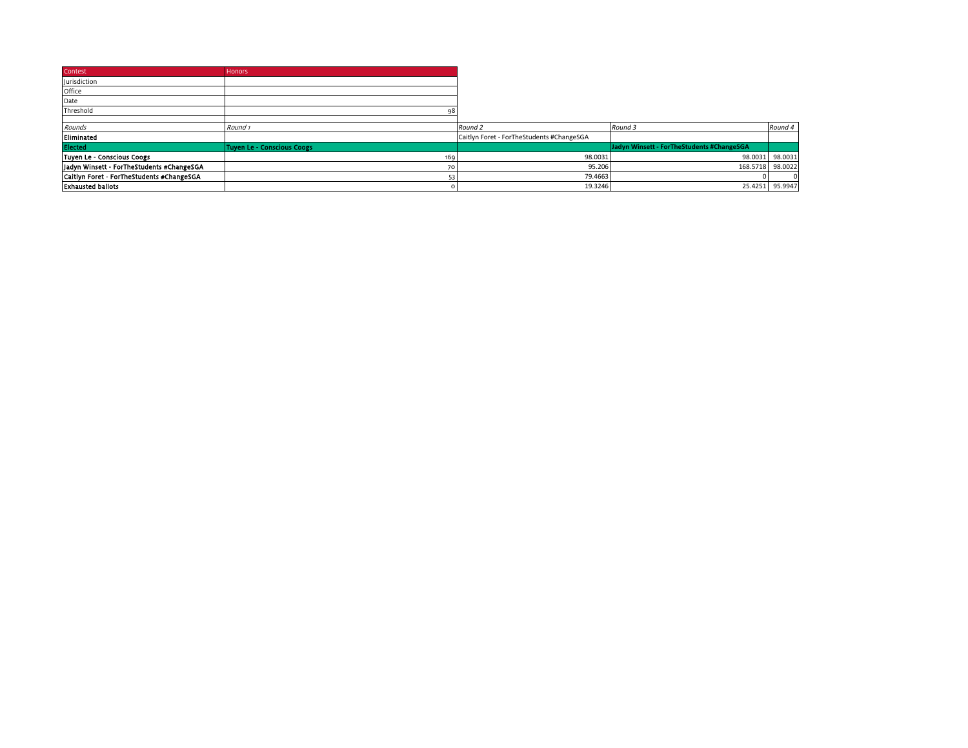| Contest                                   | <b>Honors</b>              |                                           |                                           |          |
|-------------------------------------------|----------------------------|-------------------------------------------|-------------------------------------------|----------|
| <b>Jurisdiction</b>                       |                            |                                           |                                           |          |
| Office                                    |                            |                                           |                                           |          |
| Date                                      |                            |                                           |                                           |          |
| Threshold                                 |                            |                                           |                                           |          |
|                                           |                            |                                           |                                           |          |
| Rounds                                    | Round <sub>1</sub>         | Round 2                                   | Round 3                                   | Round 4  |
| Eliminated                                |                            | Caitlyn Foret - ForTheStudents #ChangeSGA |                                           |          |
| <b>Elected</b>                            | Tuyen Le - Conscious Coogs |                                           | Jadyn Winsett - ForTheStudents #ChangeSGA |          |
| Tuyen Le - Conscious Coogs                | 169                        | 98.0031                                   | 98.0031                                   | 98.0031  |
| Jadyn Winsett - ForTheStudents #ChangeSGA | 70                         | 95.206                                    | 168.5718                                  | 98.0022  |
| Caitlyn Foret - ForTheStudents #ChangeSGA |                            | 79.4663                                   |                                           | $\Omega$ |
| <b>Exhausted ballots</b>                  |                            | 19.3246                                   | 25.4251                                   | 95.9947  |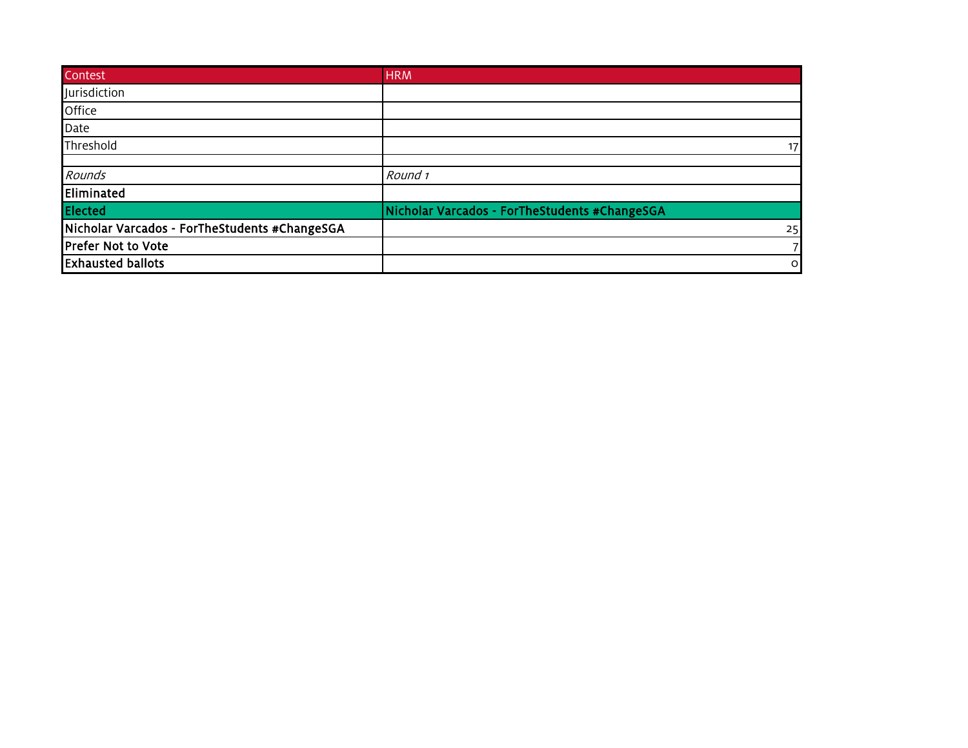| Contest                                       | <b>HRM</b>                                    |
|-----------------------------------------------|-----------------------------------------------|
| Jurisdiction                                  |                                               |
| Office                                        |                                               |
| Date                                          |                                               |
| Threshold                                     | 17                                            |
| Rounds                                        | Round 1                                       |
| Eliminated                                    |                                               |
| <b>Elected</b>                                | Nicholar Varcados - ForTheStudents #ChangeSGA |
| Nicholar Varcados - ForTheStudents #ChangeSGA | 25                                            |
| <b>Prefer Not to Vote</b>                     |                                               |
| <b>Exhausted ballots</b>                      | $\circ$                                       |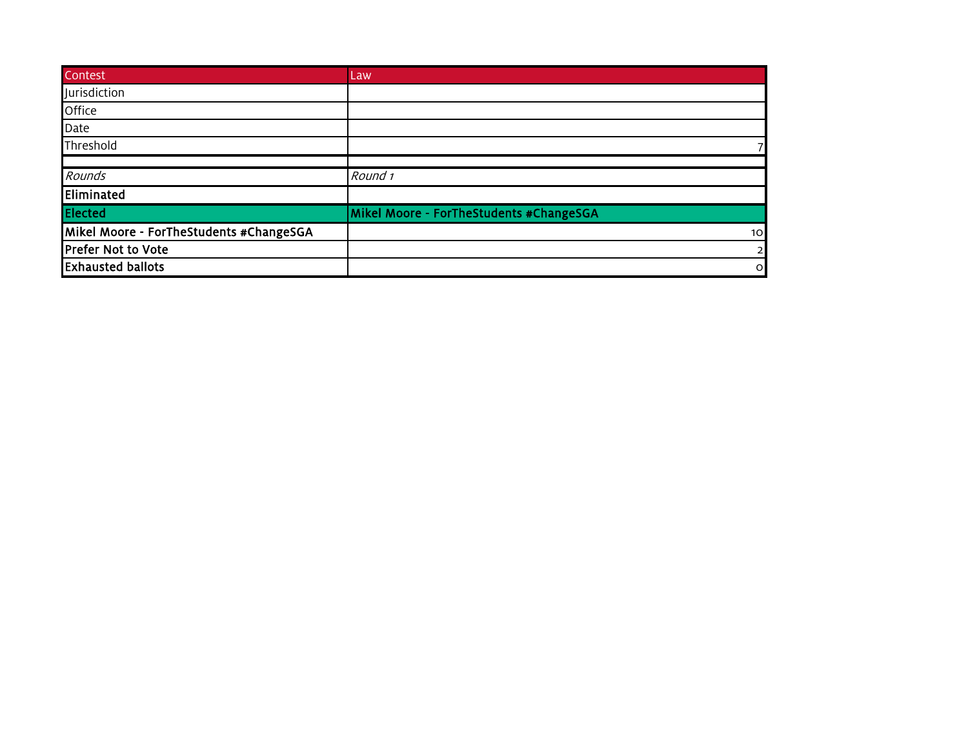| Contest                                 | Law                                     |
|-----------------------------------------|-----------------------------------------|
| Jurisdiction                            |                                         |
| Office                                  |                                         |
| <b>Date</b>                             |                                         |
| Threshold                               |                                         |
|                                         |                                         |
| Rounds                                  | Round 1                                 |
| Eliminated                              |                                         |
| <b>Elected</b>                          | Mikel Moore - ForTheStudents #ChangeSGA |
| Mikel Moore - ForTheStudents #ChangeSGA | 10 <sup>1</sup>                         |
| Prefer Not to Vote                      | $\overline{2}$                          |
| <b>Exhausted ballots</b>                | $\circ$                                 |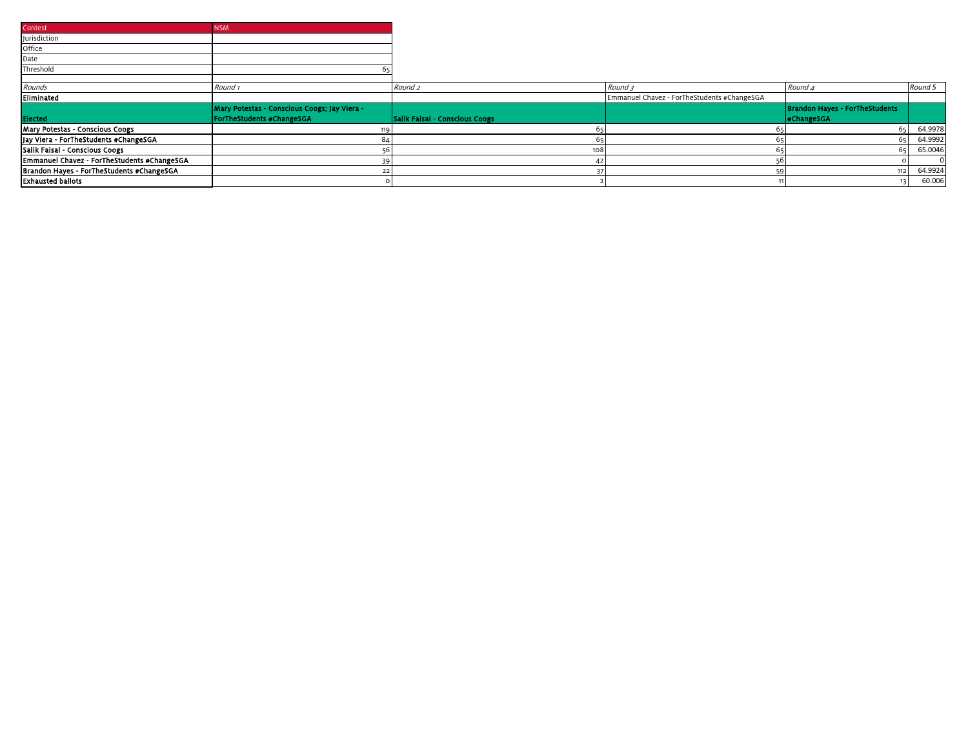| Contest                                     | <b>NSM</b>                                   |                                |                                             |                                       |         |
|---------------------------------------------|----------------------------------------------|--------------------------------|---------------------------------------------|---------------------------------------|---------|
| Jurisdiction                                |                                              |                                |                                             |                                       |         |
| Office                                      |                                              |                                |                                             |                                       |         |
| Date                                        |                                              |                                |                                             |                                       |         |
| Threshold                                   |                                              |                                |                                             |                                       |         |
|                                             |                                              |                                |                                             |                                       |         |
| Rounds                                      | Round 1                                      | Round <sub>2</sub>             | Round 3                                     | Round 4                               | Round 5 |
| Eliminated                                  |                                              |                                | Emmanuel Chavez - ForTheStudents #ChangeSGA |                                       |         |
|                                             | Mary Potestas - Conscious Coogs; Jay Viera - |                                |                                             | <b>Brandon Hayes - ForTheStudents</b> |         |
| Elected                                     | <b>ForTheStudents #ChangeSGA</b>             | Salik Faisal - Conscious Coogs |                                             | <b>#ChangeSGA</b>                     |         |
| Mary Potestas - Conscious Coogs             |                                              |                                |                                             | 651                                   | 64.9978 |
| Jay Viera - ForTheStudents #ChangeSGA       |                                              |                                |                                             |                                       | 64.9992 |
| Salik Faisal - Conscious Coogs              |                                              | 108                            |                                             |                                       | 65.0046 |
| Emmanuel Chavez - ForTheStudents #ChangeSGA |                                              |                                |                                             |                                       |         |
| Brandon Hayes - ForTheStudents #ChangeSGA   |                                              |                                |                                             |                                       | 64.9924 |
| <b>Exhausted ballots</b>                    |                                              |                                |                                             |                                       | 60.006  |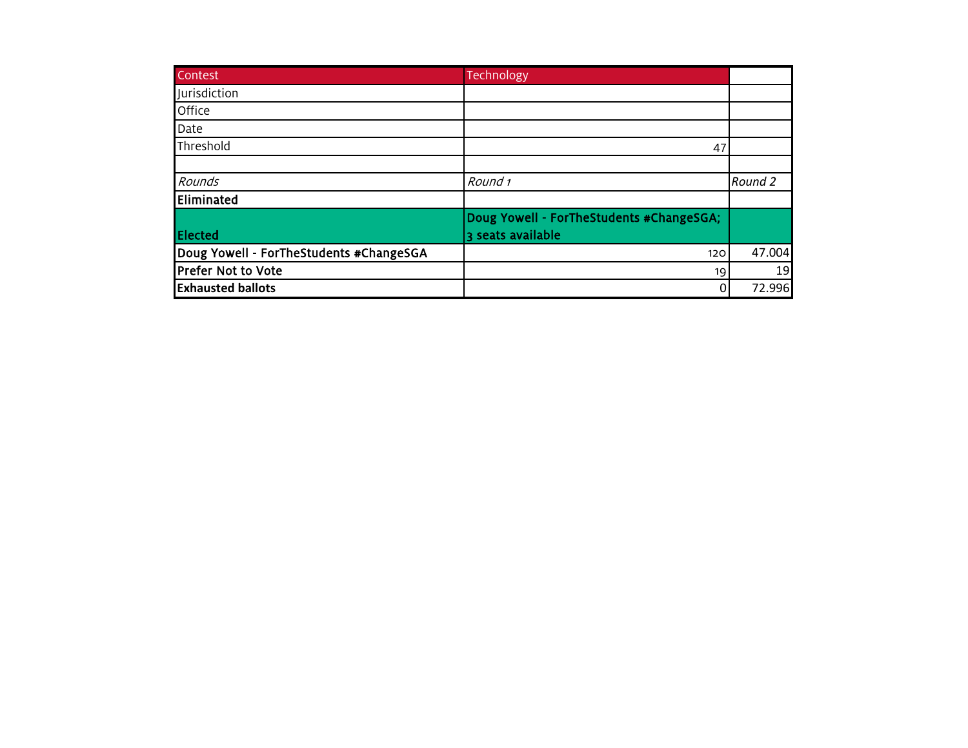| Contest                                 | Technology                                                    |         |
|-----------------------------------------|---------------------------------------------------------------|---------|
| <b>Iurisdiction</b>                     |                                                               |         |
| Office                                  |                                                               |         |
| Date                                    |                                                               |         |
| Threshold                               | 47                                                            |         |
|                                         |                                                               |         |
| Rounds                                  | Round 1                                                       | Round 2 |
| Eliminated                              |                                                               |         |
| Elected                                 | Doug Yowell - ForTheStudents #ChangeSGA;<br>3 seats available |         |
| Doug Yowell - ForTheStudents #ChangeSGA | 120                                                           | 47.004  |
| <b>Prefer Not to Vote</b>               | 19                                                            | 19      |
| <b>Exhausted ballots</b>                | 0                                                             | 72.996  |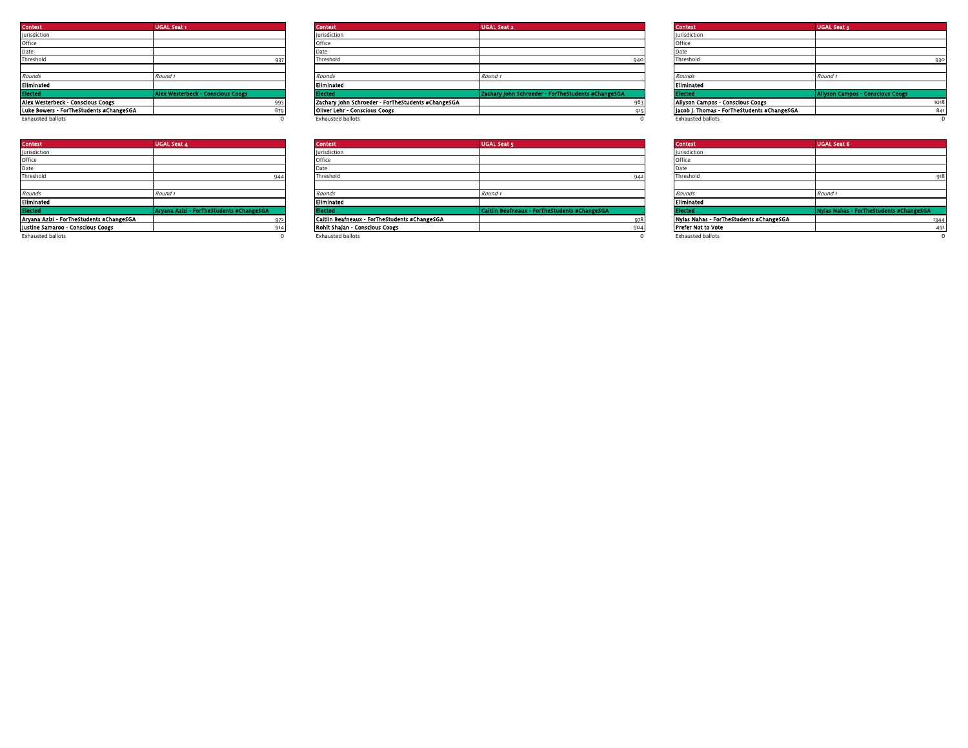| <b>Contest</b>                          | <b>UGAL Seat 1</b>                       |     | <b>Contest</b>                                     | <b>UGAL Seat 2</b>                                 |     | <b>Contest</b>                              | <b>UGAL Seat 3</b> |
|-----------------------------------------|------------------------------------------|-----|----------------------------------------------------|----------------------------------------------------|-----|---------------------------------------------|--------------------|
| Jurisdiction                            |                                          |     | Jurisdiction                                       |                                                    |     | <b>Jurisdiction</b>                         |                    |
| Office                                  |                                          |     | Office                                             |                                                    |     | Office                                      |                    |
| Date                                    |                                          |     | Date                                               |                                                    |     | Date                                        |                    |
| Threshold                               |                                          |     | Threshold                                          |                                                    | 940 | Threshold                                   |                    |
|                                         |                                          |     |                                                    |                                                    |     |                                             |                    |
| Rounds                                  | Round 1                                  |     | Rounds                                             | Round                                              |     | Rounds                                      | Round 1            |
| Eliminated                              |                                          |     | Eliminated                                         |                                                    |     | Eliminated                                  |                    |
| <b>Elected</b>                          | <b>Alex Westerbeck - Conscious Coogs</b> |     | Elected                                            | Zachary John Schroeder - ForTheStudents #ChangeSGA |     | Elected                                     | <b>Allyson Cam</b> |
| Alex Westerbeck - Conscious Coogs       |                                          | 993 | Zachary John Schroeder - ForTheStudents #ChangeSGA |                                                    |     | Allyson Campos - Conscious Coogs            |                    |
| Luke Bowers - ForTheStudents #ChangeSGA |                                          |     | Oliver Lehr - Conscious Coogs                      |                                                    |     | Jacob J. Thomas - ForTheStudents #ChangeSGA |                    |
| <b>Exhausted hallots</b>                |                                          |     | <b>Exhaucted hallots</b>                           |                                                    |     | <b>Exhausted hallots</b>                    |                    |

| <b>Contest</b>                           | <b>UGAL Seat 4</b>                       |
|------------------------------------------|------------------------------------------|
| <b>Iurisdiction</b>                      |                                          |
| Office                                   |                                          |
| Date                                     |                                          |
| Threshold                                | 944                                      |
|                                          |                                          |
| Rounds                                   | Round 1                                  |
| Eliminated                               |                                          |
| Elected                                  | Arvana Azizi - ForTheStudents #ChangeSGA |
| Aryana Azizi - ForTheStudents #ChangeSGA | 972                                      |
| Justine Samaroo - Conscious Coogs        | 914                                      |
| .                                        | $\sim$                                   |

| Contest                                 | <b>UGAL Seat 1</b>                       | <b>Contest</b>                                     | <b>UGAL Seat 2</b>                                 | <b>Contest</b>                              | <b>UGAL Seat 3</b>                      |
|-----------------------------------------|------------------------------------------|----------------------------------------------------|----------------------------------------------------|---------------------------------------------|-----------------------------------------|
| <b>Jurisdiction</b>                     |                                          | <b>Jurisdiction</b>                                |                                                    | <b>Jurisdiction</b>                         |                                         |
| Office                                  |                                          | Office                                             |                                                    | Office                                      |                                         |
| Date                                    |                                          |                                                    |                                                    |                                             |                                         |
| Threshold                               |                                          | Threshold                                          |                                                    | Threshold                                   |                                         |
|                                         |                                          |                                                    |                                                    |                                             |                                         |
| Rounds                                  | Round                                    | Rounds                                             | Round                                              | Rounds                                      | Round                                   |
| Eliminated                              |                                          | Eliminated                                         |                                                    | Eliminated                                  |                                         |
| Elected                                 | <b>Alex Westerbeck - Conscious Coogs</b> | Elected                                            | Zachary John Schroeder - ForTheStudents #ChangeSGA |                                             | <b>Allyson Campos - Conscious Coogs</b> |
| Alex Westerbeck - Conscious Coogs       | 002                                      | Zachary John Schroeder - ForTheStudents #ChangeSGA |                                                    | Allyson Campos - Conscious Coogs            | 1018                                    |
| Luke Bowers - ForTheStudents #ChangeSGA |                                          | Oliver Lehr - Conscious Coogs                      |                                                    | Jacob J. Thomas - ForTheStudents #ChangeSGA |                                         |
| Exhausted ballots                       |                                          | <b>Exhausted ballots</b>                           |                                                    | <b>Exhausted ballots</b>                    |                                         |
|                                         |                                          |                                                    |                                                    |                                             |                                         |

| <b>Contest</b>                           | <b>UGAL Seat 4</b>                       | <b>Contest</b>                                | <b>UGAL Seat 5</b>                            |     | <b>Contest</b>                          | <b>UGAL Seat 6</b>                      |
|------------------------------------------|------------------------------------------|-----------------------------------------------|-----------------------------------------------|-----|-----------------------------------------|-----------------------------------------|
| <b>Jurisdiction</b>                      |                                          | lurisdiction                                  |                                               |     | Iurisdiction                            |                                         |
| Office                                   |                                          | Office                                        |                                               |     |                                         |                                         |
| Date                                     |                                          | Date                                          |                                               |     |                                         |                                         |
| Threshold                                |                                          | Threshold                                     |                                               |     | Threshold                               | 918                                     |
|                                          |                                          |                                               |                                               |     |                                         |                                         |
| Rounds                                   | Round                                    | Rounds                                        | Round                                         |     | Rounds                                  | Round                                   |
| Eliminated                               |                                          | <b>Eliminated</b>                             |                                               |     | Eliminated                              |                                         |
| <b>Elected</b>                           | Aryana Azizi - ForTheStudents #ChangeSGA | Elected                                       | Caitlin Beafneaux - ForTheStudents #ChangeSGA |     |                                         | Nylas Nahas - ForTheStudents #ChangeSGA |
| Aryana Azizi - ForTheStudents #ChangeSGA |                                          | Caitlin Beafneaux - ForTheStudents #ChangeSGA |                                               |     | Nylas Nahas - ForTheStudents #ChangeSGA | 1344                                    |
| Justine Samaroo - Conscious Coogs        |                                          | Rohit Shajan - Conscious Coogs                |                                               | 904 | <b>Prefer Not to Vote</b>               | 491                                     |
| Postere contrast to attack a             |                                          | Professional front car.                       |                                               |     | The discussion of the Market            |                                         |

| <b>Contest</b>                           | <b>UGAL Seat 4</b>                       | <b>Contest</b>                                | <b>UGAL Seat 5</b>                            | <b>Contest</b>                          | <b>UGAL Seat 6</b>                      |
|------------------------------------------|------------------------------------------|-----------------------------------------------|-----------------------------------------------|-----------------------------------------|-----------------------------------------|
| Jurisdiction                             |                                          | <b>Jurisdiction</b>                           |                                               | Jurisdiction                            |                                         |
| Office                                   |                                          | Office                                        |                                               |                                         |                                         |
| Date                                     |                                          | Date                                          |                                               |                                         |                                         |
| Threshold                                |                                          | Threshold                                     |                                               | Threshold                               |                                         |
|                                          |                                          |                                               |                                               |                                         |                                         |
| Rounds                                   | Round                                    | Rounds                                        | Round 1                                       | Rounds                                  | Round                                   |
| Eliminated                               |                                          | Eliminated                                    |                                               | Eliminated                              |                                         |
| <b>Hected</b>                            | Aryana Azizi - ForTheStudents #ChangeSGA | Electe                                        | Caitlin Beafneaux - ForTheStudents #ChangeSGA |                                         | Nylas Nahas - ForTheStudents #ChangeSGA |
| Aryana Azizi - ForTheStudents #ChangeSGA |                                          | Caitlin Beafneaux - ForTheStudents #ChangeSGA |                                               | Nylas Nahas - ForTheStudents #ChangeSGA |                                         |
| Justine Samaroo - Conscious Coogs        |                                          | Rohit Shajan - Conscious Coogs                |                                               | <b>Prefer Not to Vote</b>               |                                         |
| <b>Exhausted ballots</b>                 |                                          | <b>Exhausted ballots</b>                      |                                               | <b>Exhausted ballots</b>                |                                         |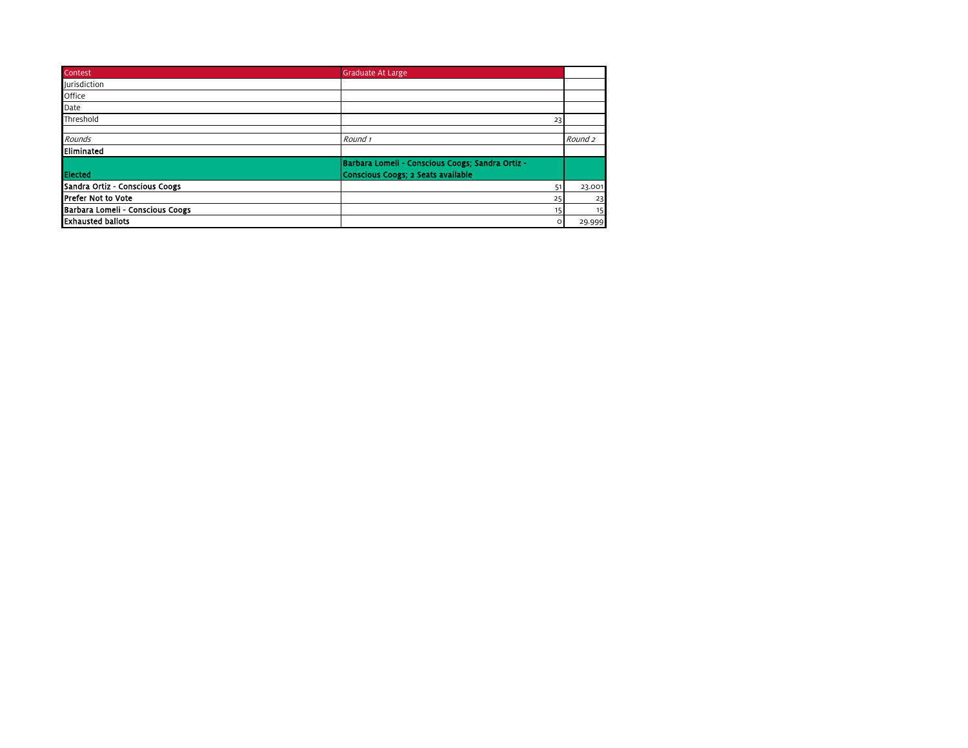| Contest                          | <b>Graduate At Large</b>                         |                    |
|----------------------------------|--------------------------------------------------|--------------------|
| <b>lurisdiction</b>              |                                                  |                    |
| Office                           |                                                  |                    |
| Date                             |                                                  |                    |
| Threshold                        | 23                                               |                    |
|                                  |                                                  |                    |
| Rounds                           | Round 1                                          | Round <sub>2</sub> |
| Eliminated                       |                                                  |                    |
|                                  | Barbara Lomeli - Conscious Coogs; Sandra Ortiz - |                    |
| <b>Elected</b>                   | Conscious Coogs; 2 Seats available               |                    |
| Sandra Ortiz - Conscious Coogs   | 51                                               | 23.001             |
| <b>IPrefer Not to Vote</b>       | 25                                               | 23                 |
| Barbara Lomeli - Conscious Coogs | 15                                               | 15                 |
| <b>Exhausted ballots</b>         | o                                                | 29.999             |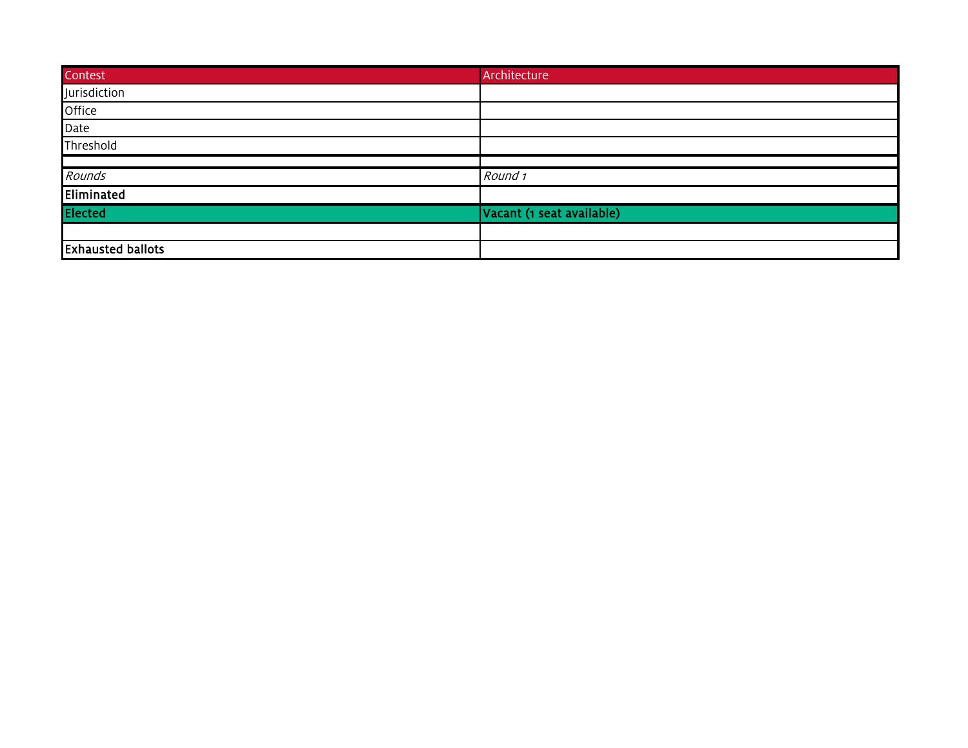| Contest                  | Architecture              |
|--------------------------|---------------------------|
| Jurisdiction             |                           |
| Office                   |                           |
| Date                     |                           |
| Threshold                |                           |
|                          |                           |
| Rounds                   | Round 1                   |
| Eliminated               |                           |
| <b>Elected</b>           | Vacant (1 seat available) |
|                          |                           |
| <b>Exhausted ballots</b> |                           |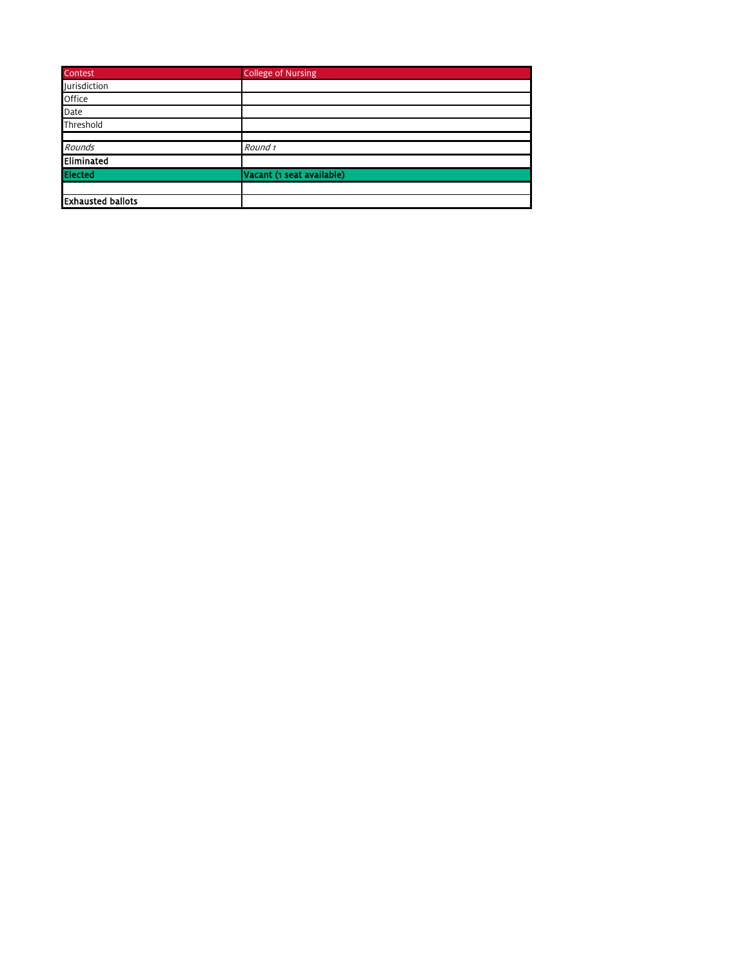| Contest                  | <b>College of Nursing</b> |
|--------------------------|---------------------------|
| Jurisdiction             |                           |
| Office                   |                           |
| Date                     |                           |
| Threshold                |                           |
|                          |                           |
| Rounds                   | Round 1                   |
| <b>Eliminated</b>        |                           |
| Elected                  | Vacant (1 seat available) |
|                          |                           |
| <b>Exhausted ballots</b> |                           |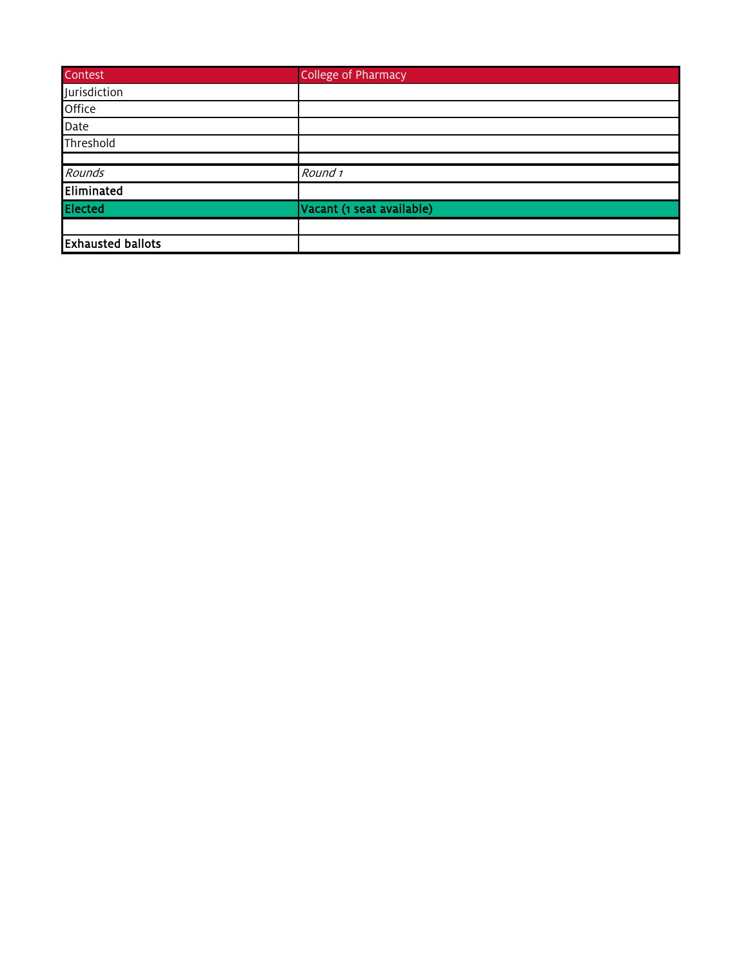| <b>Contest</b>           | <b>College of Pharmacy</b> |
|--------------------------|----------------------------|
| Jurisdiction             |                            |
| Office                   |                            |
| Date                     |                            |
| Threshold                |                            |
|                          |                            |
| Rounds                   | Round 1                    |
| Eliminated               |                            |
| <b>Elected</b>           | Vacant (1 seat available)  |
|                          |                            |
| <b>Exhausted ballots</b> |                            |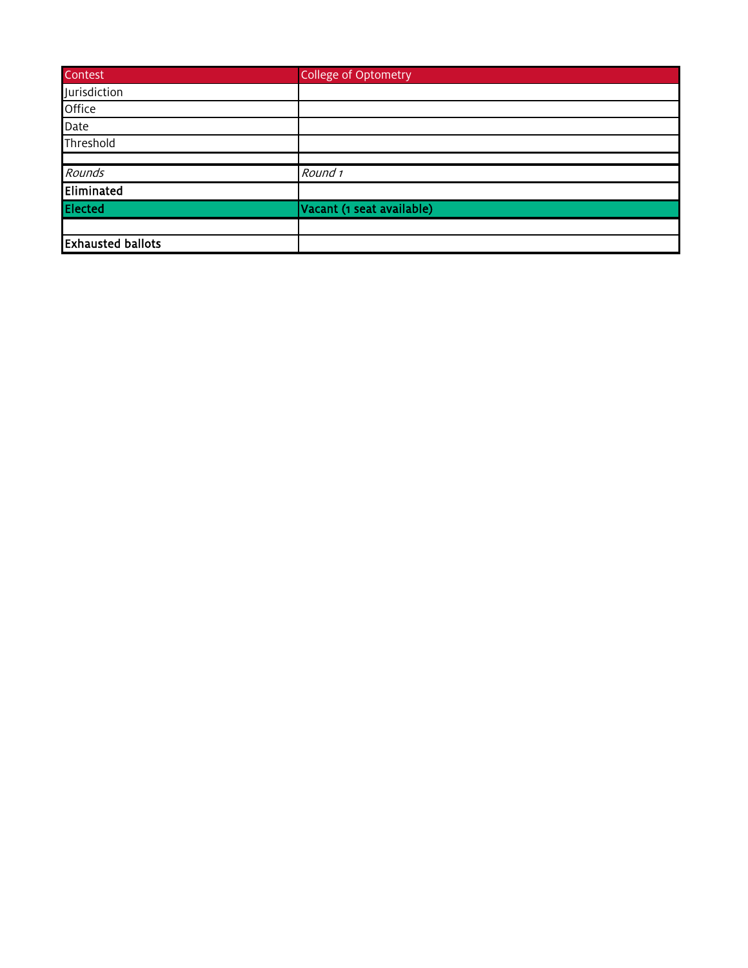| <b>Contest</b>           | <b>College of Optometry</b> |
|--------------------------|-----------------------------|
| Jurisdiction             |                             |
| Office                   |                             |
| Date                     |                             |
| Threshold                |                             |
|                          |                             |
| Rounds                   | Round 1                     |
| Eliminated               |                             |
| <b>Elected</b>           | Vacant (1 seat available)   |
|                          |                             |
| <b>Exhausted ballots</b> |                             |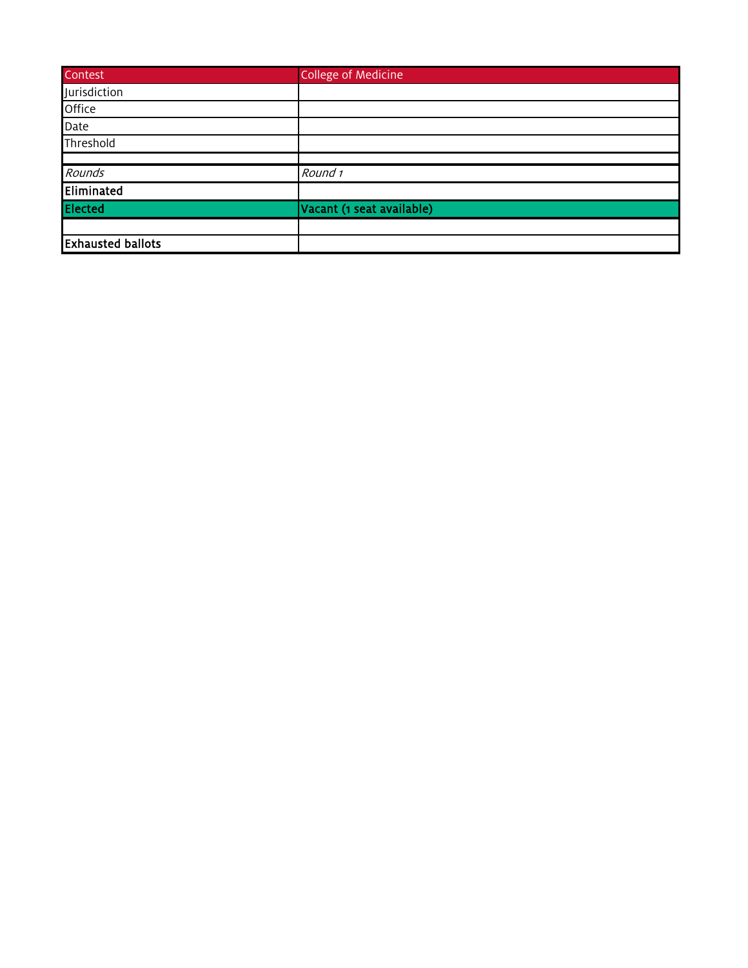| Contest                  | <b>College of Medicine</b> |
|--------------------------|----------------------------|
| Jurisdiction             |                            |
| Office                   |                            |
| Date                     |                            |
| Threshold                |                            |
|                          |                            |
| Rounds                   | Round 1                    |
| Eliminated               |                            |
| <b>Elected</b>           | Vacant (1 seat available)  |
|                          |                            |
| <b>Exhausted ballots</b> |                            |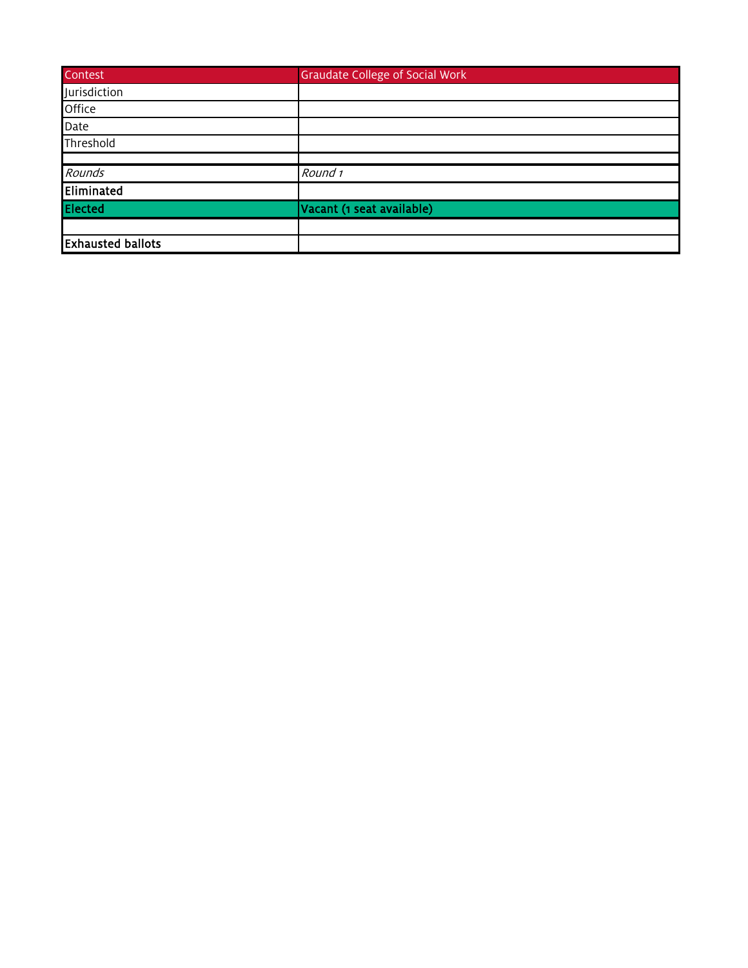| <b>Contest</b>           | <b>Graudate College of Social Work</b> |
|--------------------------|----------------------------------------|
| Jurisdiction             |                                        |
| Office                   |                                        |
| Date                     |                                        |
| Threshold                |                                        |
|                          |                                        |
| Rounds                   | Round 1                                |
| Eliminated               |                                        |
| Elected                  | Vacant (1 seat available)              |
|                          |                                        |
| <b>Exhausted ballots</b> |                                        |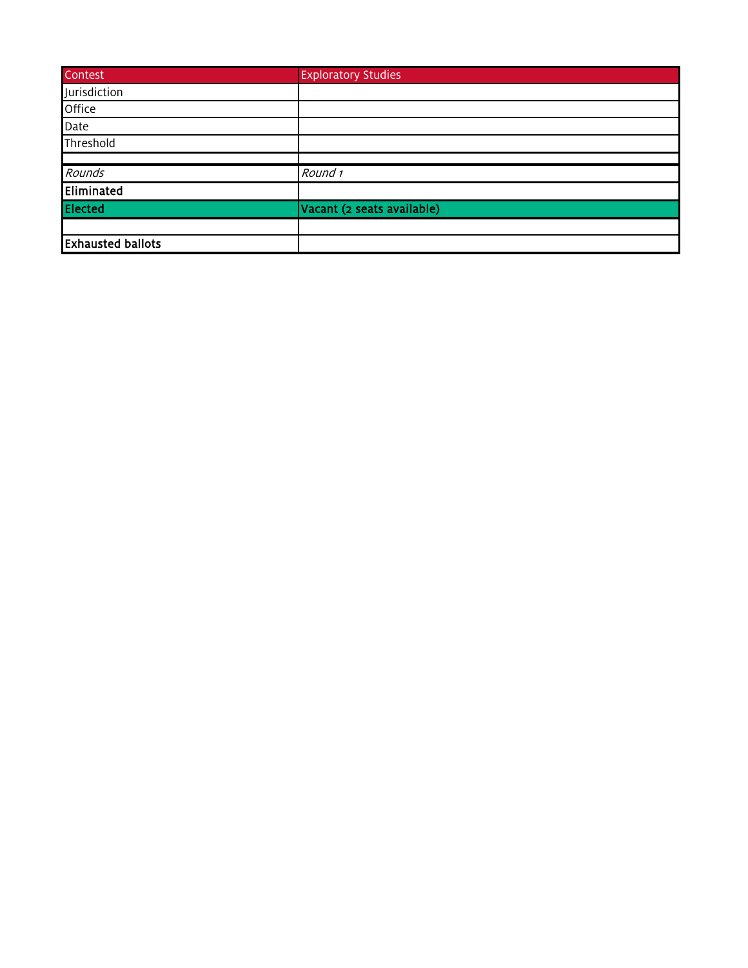| <b>Contest</b>           | <b>Exploratory Studies</b> |
|--------------------------|----------------------------|
| Jurisdiction             |                            |
| Office                   |                            |
| Date                     |                            |
| Threshold                |                            |
|                          |                            |
| Rounds                   | Round 1                    |
| Eliminated               |                            |
| <b>Elected</b>           | Vacant (2 seats available) |
|                          |                            |
| <b>Exhausted ballots</b> |                            |